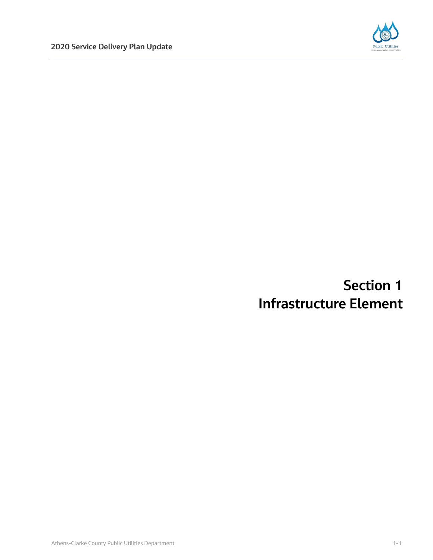

# **Section 1 Infrastructure Element**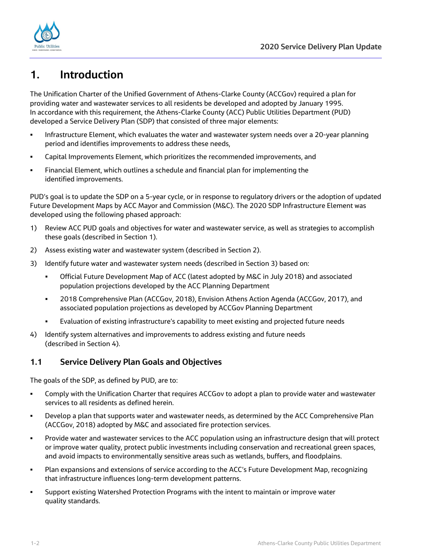

# **1. Introduction**

The Unification Charter of the Unified Government of Athens-Clarke County (ACCGov) required a plan for providing water and wastewater services to all residents be developed and adopted by January 1995. In accordance with this requirement, the Athens-Clarke County (ACC) Public Utilities Department (PUD) developed a Service Delivery Plan (SDP) that consisted of three major elements:

- Infrastructure Element, which evaluates the water and wastewater system needs over a 20-year planning period and identifies improvements to address these needs,
- Capital Improvements Element, which prioritizes the recommended improvements, and
- Financial Element, which outlines a schedule and financial plan for implementing the identified improvements.

PUD's goal is to update the SDP on a 5-year cycle, or in response to regulatory drivers or the adoption of updated Future Development Maps by ACC Mayor and Commission (M&C). The 2020 SDP Infrastructure Element was developed using the following phased approach:

- 1) Review ACC PUD goals and objectives for water and wastewater service, as well as strategies to accomplish these goals (described in Section 1).
- 2) Assess existing water and wastewater system (described in Section 2).
- 3) Identify future water and wastewater system needs (described in Section 3) based on:
	- Official Future Development Map of ACC (latest adopted by M&C in July 2018) and associated population projections developed by the ACC Planning Department
	- 2018 Comprehensive Plan (ACCGov, 2018), Envision Athens Action Agenda (ACCGov, 2017), and associated population projections as developed by ACCGov Planning Department
	- Evaluation of existing infrastructure's capability to meet existing and projected future needs
- 4) Identify system alternatives and improvements to address existing and future needs (described in Section 4).

# **1.1 Service Delivery Plan Goals and Objectives**

The goals of the SDP, as defined by PUD, are to:

- Comply with the Unification Charter that requires ACCGov to adopt a plan to provide water and wastewater services to all residents as defined herein.
- Develop a plan that supports water and wastewater needs, as determined by the ACC Comprehensive Plan (ACCGov, 2018) adopted by M&C and associated fire protection services.
- Provide water and wastewater services to the ACC population using an infrastructure design that will protect or improve water quality, protect public investments including conservation and recreational green spaces, and avoid impacts to environmentally sensitive areas such as wetlands, buffers, and floodplains.
- Plan expansions and extensions of service according to the ACC's Future Development Map, recognizing that infrastructure influences long-term development patterns.
- Support existing Watershed Protection Programs with the intent to maintain or improve water quality standards.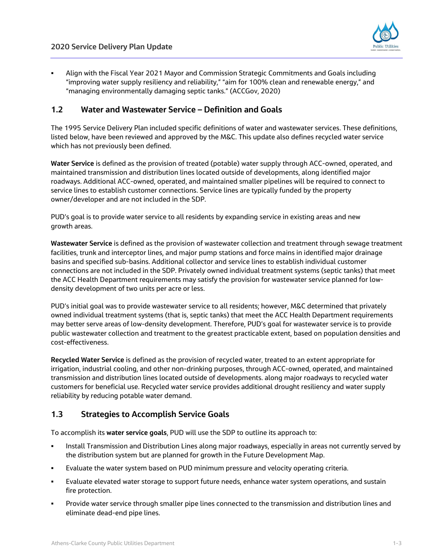

 Align with the Fiscal Year 2021 Mayor and Commission Strategic Commitments and Goals including "improving water supply resiliency and reliability," "aim for 100% clean and renewable energy," and "managing environmentally damaging septic tanks." (ACCGov, 2020)

## **1.2 Water and Wastewater Service – Definition and Goals**

The 1995 Service Delivery Plan included specific definitions of water and wastewater services. These definitions, listed below, have been reviewed and approved by the M&C. This update also defines recycled water service which has not previously been defined.

**Water Service** is defined as the provision of treated (potable) water supply through ACC-owned, operated, and maintained transmission and distribution lines located outside of developments, along identified major roadways. Additional ACC-owned, operated, and maintained smaller pipelines will be required to connect to service lines to establish customer connections. Service lines are typically funded by the property owner/developer and are not included in the SDP.

PUD's goal is to provide water service to all residents by expanding service in existing areas and new growth areas.

**Wastewater Service** is defined as the provision of wastewater collection and treatment through sewage treatment facilities, trunk and interceptor lines, and major pump stations and force mains in identified major drainage basins and specified sub-basins. Additional collector and service lines to establish individual customer connections are not included in the SDP. Privately owned individual treatment systems (septic tanks) that meet the ACC Health Department requirements may satisfy the provision for wastewater service planned for lowdensity development of two units per acre or less.

PUD's initial goal was to provide wastewater service to all residents; however, M&C determined that privately owned individual treatment systems (that is, septic tanks) that meet the ACC Health Department requirements may better serve areas of low-density development. Therefore, PUD's goal for wastewater service is to provide public wastewater collection and treatment to the greatest practicable extent, based on population densities and cost-effectiveness.

**Recycled Water Service** is defined as the provision of recycled water, treated to an extent appropriate for irrigation, industrial cooling, and other non-drinking purposes, through ACC-owned, operated, and maintained transmission and distribution lines located outside of developments. along major roadways to recycled water customers for beneficial use. Recycled water service provides additional drought resiliency and water supply reliability by reducing potable water demand.

# **1.3 Strategies to Accomplish Service Goals**

To accomplish its **water service goals**, PUD will use the SDP to outline its approach to:

- Install Transmission and Distribution Lines along major roadways, especially in areas not currently served by the distribution system but are planned for growth in the Future Development Map.
- Evaluate the water system based on PUD minimum pressure and velocity operating criteria.
- Evaluate elevated water storage to support future needs, enhance water system operations, and sustain fire protection.
- Provide water service through smaller pipe lines connected to the transmission and distribution lines and eliminate dead-end pipe lines.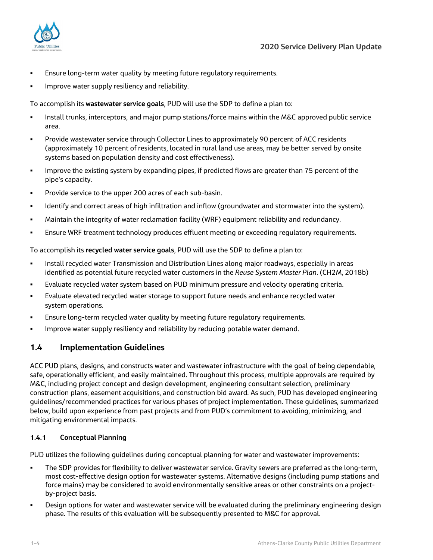

- Ensure long-term water quality by meeting future regulatory requirements.
- **IMPROVE WATER SUPPLY RESILIENCY AND RELIABILITY.**

To accomplish its **wastewater service goals**, PUD will use the SDP to define a plan to:

- **Install trunks, interceptors, and major pump stations/force mains within the M&C approved public service** area.
- Provide wastewater service through Collector Lines to approximately 90 percent of ACC residents (approximately 10 percent of residents, located in rural land use areas, may be better served by onsite systems based on population density and cost effectiveness).
- Improve the existing system by expanding pipes, if predicted flows are greater than 75 percent of the pipe's capacity.
- **Provide service to the upper 200 acres of each sub-basin.**
- Identify and correct areas of high infiltration and inflow (groundwater and stormwater into the system).
- Maintain the integrity of water reclamation facility (WRF) equipment reliability and redundancy.
- Ensure WRF treatment technology produces effluent meeting or exceeding regulatory requirements.

To accomplish its **recycled water service goals**, PUD will use the SDP to define a plan to:

- **Install recycled water Transmission and Distribution Lines along major roadways, especially in areas by the Unit** identified as potential future recycled water customers in the *Reuse System Master Plan*. (CH2M, 2018b)
- Evaluate recycled water system based on PUD minimum pressure and velocity operating criteria.
- Evaluate elevated recycled water storage to support future needs and enhance recycled water system operations.
- Ensure long-term recycled water quality by meeting future regulatory requirements.
- Improve water supply resiliency and reliability by reducing potable water demand.

### **1.4 Implementation Guidelines**

ACC PUD plans, designs, and constructs water and wastewater infrastructure with the goal of being dependable, safe, operationally efficient, and easily maintained. Throughout this process, multiple approvals are required by M&C, including project concept and design development, engineering consultant selection, preliminary construction plans, easement acquisitions, and construction bid award. As such, PUD has developed engineering guidelines/recommended practices for various phases of project implementation. These guidelines, summarized below, build upon experience from past projects and from PUD's commitment to avoiding, minimizing, and mitigating environmental impacts.

#### **1.4.1 Conceptual Planning**

PUD utilizes the following guidelines during conceptual planning for water and wastewater improvements:

- The SDP provides for flexibility to deliver wastewater service. Gravity sewers are preferred as the long-term, most cost-effective design option for wastewater systems. Alternative designs (including pump stations and force mains) may be considered to avoid environmentally sensitive areas or other constraints on a projectby-project basis.
- Design options for water and wastewater service will be evaluated during the preliminary engineering design phase. The results of this evaluation will be subsequently presented to M&C for approval.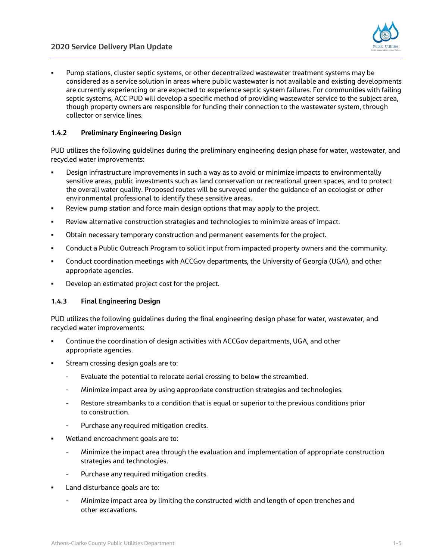

 Pump stations, cluster septic systems, or other decentralized wastewater treatment systems may be considered as a service solution in areas where public wastewater is not available and existing developments are currently experiencing or are expected to experience septic system failures. For communities with failing septic systems, ACC PUD will develop a specific method of providing wastewater service to the subject area, though property owners are responsible for funding their connection to the wastewater system, through collector or service lines.

#### **1.4.2 Preliminary Engineering Design**

PUD utilizes the following guidelines during the preliminary engineering design phase for water, wastewater, and recycled water improvements:

- Design infrastructure improvements in such a way as to avoid or minimize impacts to environmentally sensitive areas, public investments such as land conservation or recreational green spaces, and to protect the overall water quality. Proposed routes will be surveyed under the guidance of an ecologist or other environmental professional to identify these sensitive areas.
- Review pump station and force main design options that may apply to the project.
- Review alternative construction strategies and technologies to minimize areas of impact.
- Obtain necessary temporary construction and permanent easements for the project.
- Conduct a Public Outreach Program to solicit input from impacted property owners and the community.
- Conduct coordination meetings with ACCGov departments, the University of Georgia (UGA), and other appropriate agencies.
- Develop an estimated project cost for the project.

#### **1.4.3 Final Engineering Design**

PUD utilizes the following guidelines during the final engineering design phase for water, wastewater, and recycled water improvements:

- Continue the coordination of design activities with ACCGov departments, UGA, and other appropriate agencies.
- Stream crossing design goals are to:
	- Evaluate the potential to relocate aerial crossing to below the streambed.
	- Minimize impact area by using appropriate construction strategies and technologies.
	- Restore streambanks to a condition that is equal or superior to the previous conditions prior to construction.
	- Purchase any required mitigation credits.
- Wetland encroachment goals are to:
	- Minimize the impact area through the evaluation and implementation of appropriate construction strategies and technologies.
	- Purchase any required mitigation credits.
- Land disturbance goals are to:
	- Minimize impact area by limiting the constructed width and length of open trenches and other excavations.